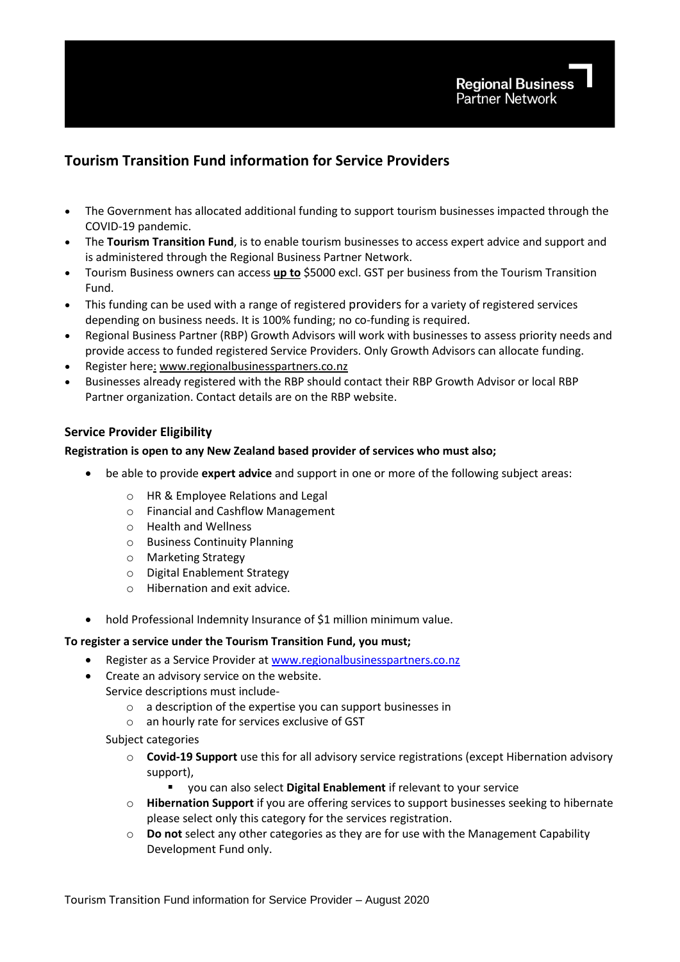# **Tourism Transition Fund information for Service Providers**

- The Government has allocated additional funding to support tourism businesses impacted through the COVID-19 pandemic.
- The **Tourism Transition Fund**, is to enable tourism businesses to access expert advice and support and is administered through the Regional Business Partner Network.
- Tourism Business owners can access **up to** \$5000 excl. GST per business from the Tourism Transition Fund.
- This funding can be used with a range of registered providers for a variety of registered services depending on business needs. It is 100% funding; no co-funding is required.
- Regional Business Partner (RBP) Growth Advisors will work with businesses to assess priority needs and provide access to funded registered Service Providers. Only Growth Advisors can allocate funding.
- Register here: [www.regionalbusinesspartners.co.nz](http://www.regionalbusinesspartners.co.nz/)
- Businesses already registered with the RBP should contact their RBP Growth Advisor or local RBP Partner organization. Contact details are on the RBP website.

## **Service Provider Eligibility**

## **Registration is open to any New Zealand based provider of services who must also;**

- be able to provide **expert advice** and support in one or more of the following subject areas:
	- o HR & Employee Relations and Legal
	- o Financial and Cashflow Management
	- o Health and Wellness
	- o Business Continuity Planning
	- o Marketing Strategy
	- o Digital Enablement Strategy
	- o Hibernation and exit advice.
- hold Professional Indemnity Insurance of \$1 million minimum value.

#### **To register a service under the Tourism Transition Fund, you must;**

- Register as a Service Provider a[t www.regionalbusinesspartners.co.nz](http://www.regionalbusinesspartners.co.nz/)
- Create an advisory service on the website.
	- Service descriptions must include
		- o a description of the expertise you can support businesses in
		- o an hourly rate for services exclusive of GST
		- Subject categories
			- o **Covid-19 Support** use this for all advisory service registrations (except Hibernation advisory support),
				- you can also select **Digital Enablement** if relevant to your service
			- o **Hibernation Support** if you are offering services to support businesses seeking to hibernate please select only this category for the services registration.
			- o **Do not** select any other categories as they are for use with the Management Capability Development Fund only.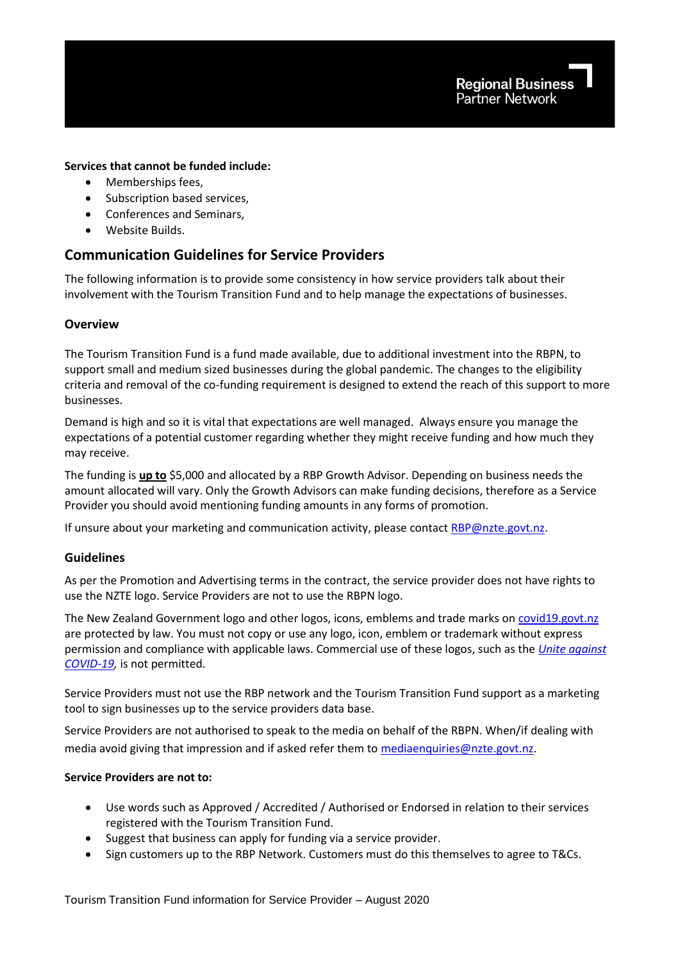## **Services that cannot be funded include:**

- Memberships fees,
- Subscription based services.
- Conferences and Seminars,
- Website Builds.

## **Communication Guidelines for Service Providers**

The following information is to provide some consistency in how service providers talk about their involvement with the Tourism Transition Fund and to help manage the expectations of businesses.

## **Overview**

The Tourism Transition Fund is a fund made available, due to additional investment into the RBPN, to support small and medium sized businesses during the global pandemic. The changes to the eligibility criteria and removal of the co-funding requirement is designed to extend the reach of this support to more businesses.

Demand is high and so it is vital that expectations are well managed. Always ensure you manage the expectations of a potential customer regarding whether they might receive funding and how much they may receive.

The funding is **up to** \$5,000 and allocated by a RBP Growth Advisor. Depending on business needs the amount allocated will vary. Only the Growth Advisors can make funding decisions, therefore as a Service Provider you should avoid mentioning funding amounts in any forms of promotion.

If unsure about your marketing and communication activity, please contact [RBP@nzte.govt.nz.](mailto:RBP@nzte.govt.nz)

## **Guidelines**

As per the Promotion and Advertising terms in the contract, the service provider does not have rights to use the NZTE logo. Service Providers are not to use the RBPN logo.

The New Zealand Government logo and other logos, icons, emblems and trade marks on [covid19.govt.nz](https://covid19.govt.nz/) are protected by law. You must not copy or use any logo, icon, emblem or trademark without express permission and compliance with applicable laws. Commercial use of these logos, such as the *[Unite against](https://covid19.govt.nz/)  [COVID-19,](https://covid19.govt.nz/)* is not permitted.

Service Providers must not use the RBP network and the Tourism Transition Fund support as a marketing tool to sign businesses up to the service providers data base.

Service Providers are not authorised to speak to the media on behalf of the RBPN. When/if dealing with media avoid giving that impression and if asked refer them to [mediaenquiries@nzte.govt.nz.](mailto:mediaenquiries@nzte.govt.nz)

## **Service Providers are not to:**

- Use words such as Approved / Accredited / Authorised or Endorsed in relation to their services registered with the Tourism Transition Fund.
- Suggest that business can apply for funding via a service provider.
- Sign customers up to the RBP Network. Customers must do this themselves to agree to T&Cs.

Tourism Transition Fund information for Service Provider – August 2020